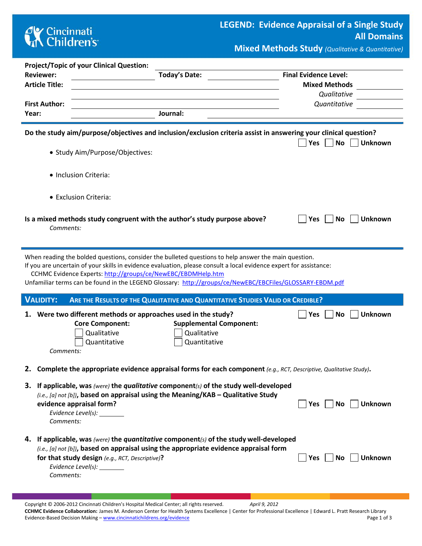## **CK** Cincinnati<br> **Children's**

**Mixed Methods Study** *(Qualitative & Quantitative)*

|       | <b>Project/Topic of your Clinical Question:</b>                                                                      |                                                                                                                  |
|-------|----------------------------------------------------------------------------------------------------------------------|------------------------------------------------------------------------------------------------------------------|
|       | <b>Reviewer:</b><br><b>Today's Date:</b>                                                                             | <b>Final Evidence Level:</b>                                                                                     |
|       | <b>Article Title:</b>                                                                                                | <b>Mixed Methods</b>                                                                                             |
|       |                                                                                                                      | Qualitative                                                                                                      |
| Year: | <b>First Author:</b><br>Journal:                                                                                     | Quantitative                                                                                                     |
|       |                                                                                                                      |                                                                                                                  |
|       |                                                                                                                      | Do the study aim/purpose/objectives and inclusion/exclusion criteria assist in answering your clinical question? |
|       |                                                                                                                      | <b>No</b><br>Yes<br><b>Unknown</b>                                                                               |
|       | • Study Aim/Purpose/Objectives:                                                                                      |                                                                                                                  |
|       |                                                                                                                      |                                                                                                                  |
|       | · Inclusion Criteria:                                                                                                |                                                                                                                  |
|       |                                                                                                                      |                                                                                                                  |
|       | • Exclusion Criteria:                                                                                                |                                                                                                                  |
|       |                                                                                                                      |                                                                                                                  |
|       | Is a mixed methods study congruent with the author's study purpose above?                                            | Yes<br>No<br><b>Unknown</b>                                                                                      |
|       | Comments:                                                                                                            |                                                                                                                  |
|       |                                                                                                                      |                                                                                                                  |
|       | When reading the bolded questions, consider the bulleted questions to help answer the main question.                 |                                                                                                                  |
|       | If you are uncertain of your skills in evidence evaluation, please consult a local evidence expert for assistance:   |                                                                                                                  |
|       | CCHMC Evidence Experts: http://groups/ce/NewEBC/EBDMHelp.htm                                                         |                                                                                                                  |
|       | Unfamiliar terms can be found in the LEGEND Glossary: http://groups/ce/NewEBC/EBCFiles/GLOSSARY-EBDM.pdf             |                                                                                                                  |
|       | <b>VALIDITY:</b><br>ARE THE RESULTS OF THE QUALITATIVE AND QUANTITATIVE STUDIES VALID OR CREDIBLE?                   |                                                                                                                  |
|       | Were two different methods or approaches used in the study?                                                          | <b>No</b><br>Unknown<br> Yes                                                                                     |
|       | <b>Core Component:</b>                                                                                               | <b>Supplemental Component:</b>                                                                                   |
|       | Qualitative<br>Qualitative                                                                                           |                                                                                                                  |
|       | Quantitative<br>Quantitative                                                                                         |                                                                                                                  |
|       | Comments:                                                                                                            |                                                                                                                  |
|       | 2. Complete the appropriate evidence appraisal forms for each component (e.g., RCT, Descriptive, Qualitative Study). |                                                                                                                  |
|       |                                                                                                                      |                                                                                                                  |
|       | 3. If applicable, was (were) the qualitative component(s) of the study well-developed                                |                                                                                                                  |
|       | (i.e., [a] not [b]), based on appraisal using the Meaning/KAB - Qualitative Study                                    |                                                                                                                  |
|       | evidence appraisal form?<br>Evidence Level(s): ________                                                              | No<br><b>Unknown</b><br>Yes                                                                                      |
|       | Comments:                                                                                                            |                                                                                                                  |
|       |                                                                                                                      |                                                                                                                  |
|       | 4. If applicable, was (were) the quantitative component(s) of the study well-developed                               |                                                                                                                  |
|       | (i.e., [a] not [b]), based on appraisal using the appropriate evidence appraisal form                                |                                                                                                                  |
|       | for that study design (e.g., RCT, Descriptive)?                                                                      | <b>Unknown</b><br>No<br>Yes                                                                                      |
|       | Evidence Level(s): _______<br>Comments:                                                                              |                                                                                                                  |
|       |                                                                                                                      |                                                                                                                  |

Copyright © 2006-2012 Cincinnati Children's Hospital Medical Center; all rights reserved. *April 9, 2012* **CCHMC Evidence Collaboration:** James M. Anderson Center for Health Systems Excellence | Center for Professional Excellence | Edward L. Pratt Research Library Evidence-Based Decision Making – [www.cincinnatichildrens.org/evidence](http://www.cincinnatichildrens.org/service/j/anderson-center/evidence-based-care/legend/) Page 1 of 3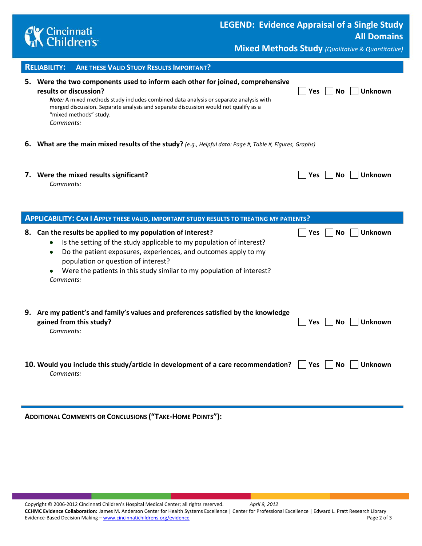

**Mixed Methods Study** *(Qualitative & Quantitative)*

| <b>RELIABILITY:</b><br><b>ARE THESE VALID STUDY RESULTS IMPORTANT?</b>                                                                                                                                                                                                                                                                                     |            |                             |
|------------------------------------------------------------------------------------------------------------------------------------------------------------------------------------------------------------------------------------------------------------------------------------------------------------------------------------------------------------|------------|-----------------------------|
| 5. Were the two components used to inform each other for joined, comprehensive<br>results or discussion?<br>Note: A mixed methods study includes combined data analysis or separate analysis with<br>merged discussion. Separate analysis and separate discussion would not qualify as a<br>"mixed methods" study.<br>Comments:                            | <b>Yes</b> | <b>No</b><br><b>Unknown</b> |
| 6. What are the main mixed results of the study? (e.g., Helpful data: Page #, Table #, Figures, Graphs)                                                                                                                                                                                                                                                    |            |                             |
| 7. Were the mixed results significant?<br>Comments:                                                                                                                                                                                                                                                                                                        | <b>Yes</b> | <b>No</b><br><b>Unknown</b> |
| APPLICABILITY: CAN I APPLY THESE VALID, IMPORTANT STUDY RESULTS TO TREATING MY PATIENTS?                                                                                                                                                                                                                                                                   |            |                             |
| 8. Can the results be applied to my population of interest?<br>Is the setting of the study applicable to my population of interest?<br>$\bullet$<br>Do the patient exposures, experiences, and outcomes apply to my<br>٠<br>population or question of interest?<br>Were the patients in this study similar to my population of interest?<br>٠<br>Comments: | Yes        | <b>No</b><br><b>Unknown</b> |
| 9. Are my patient's and family's values and preferences satisfied by the knowledge<br>gained from this study?<br>Comments:                                                                                                                                                                                                                                 | Yes        | <b>Unknown</b><br><b>No</b> |
|                                                                                                                                                                                                                                                                                                                                                            |            |                             |

**ADDITIONAL COMMENTS OR CONCLUSIONS ("TAKE-HOME POINTS"):**